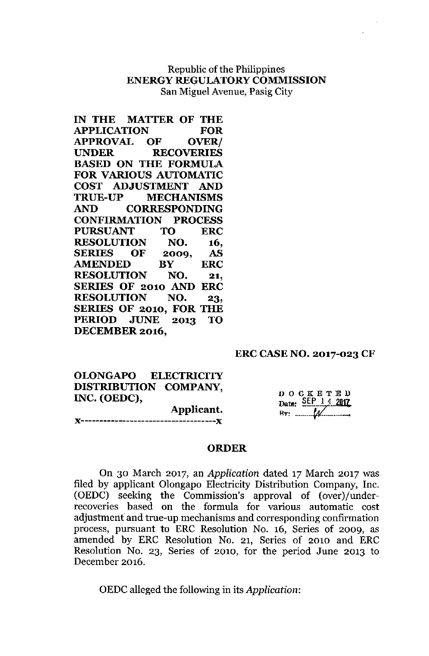## Republic of the Philippines **ENERGY REGULATORYCOMMISSION** San Miguel Avenue, Pasig City

| IN THE MATTER OF THE           |           |     |            |
|--------------------------------|-----------|-----|------------|
| <b>APPLICATION</b>             |           |     | FOR        |
| APPROVAL OF OVER/              |           |     |            |
| UNDER RECOVERIES               |           |     |            |
| <b>BASED ON THE FORMULA</b>    |           |     |            |
| <b>FOR VARIOUS AUTOMATIC</b>   |           |     |            |
| COST ADJUSTMENT AND            |           |     |            |
| <b>TRUE-UP MECHANISMS</b>      |           |     |            |
| AND CORRESPONDING              |           |     |            |
| <b>CONFIRMATION PROCESS</b>    |           |     |            |
| PURSUANT TO ERC                |           |     |            |
| RESOLUTION NO. 16,             |           |     |            |
| SERIES OF 2009, AS             |           |     |            |
| <b>AMENDED</b>                 | <b>BY</b> |     | <b>ERC</b> |
| <b>RESOLUTION</b>              |           | NO. | 21,        |
| SERIES OF 2010 AND             |           |     | ERC        |
| <b>RESOLUTION NO.</b>          |           |     | 23,        |
| <b>SERIES OF 2010, FOR THE</b> |           |     |            |
| PERIOD JUNE 2013 TO            |           |     |            |
| DECEMBER 2016,                 |           |     |            |

## **ERC CASE NO. 2017-023 CF**

**OLONGAPO ELECTRICITY DISTRIBUTION** COMPANY, **INC. (OEDC), Applicant.**

DOCKETED Date: SEP 14 2017

# J<------------------------------------J<

### **ORDER**

On 30 March 2017, an *Application* dated 17 March 2017 was filed by applicant Olongapo Electricity Distribution Company, Inc. (OEDC) seeking the Commission's approval of (over)/underrecoveries based on the formula for various automatic cost adjustment and true-up mechanisms and corresponding confirmation process, pursuant to ERC Resolution No. 16, Series of 2009, as amended by ERC Resolution No. 21, Series of 2010 and ERC Resolution No. 23, Series of 2010, for the period June 2013 to December 2016.

OEDC alleged the following in its *Application:*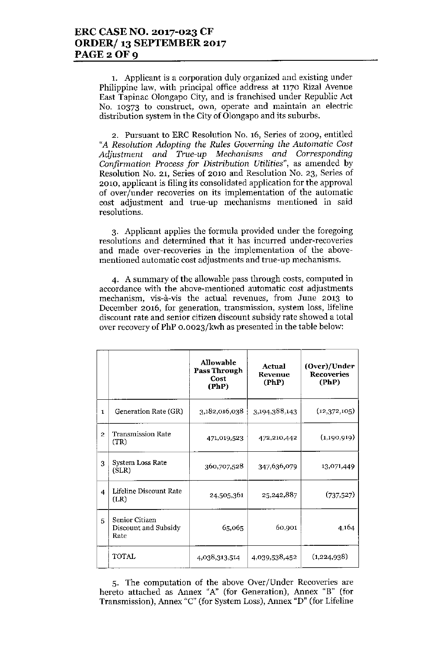1. Applicant is a corporation duly organized and existing under Philippine law, with principal office address at 1170 Rizal Avenue East Tapinac Olongapo City, and is franchised under Republic Act No. 10373 to construct, own, operate and maintain an electric distribution system in the City of 01ongapo and its suburbs.

2. Pursuant to ERC Resolution No. 16, Series of 2009, entitled *"A Resolution Adopting the Rules Governing the Automatic Cost Adjustment and True-up Mechanisms and Corresponding Confirmation Process for Distribution Utilities".* as amended by Resolution No. 21, Series of 2010 and Resolution No. 23, Series of 2010, applicant is filing its consolidated application for the approval of over/under recoveries on its implementation of the automatic cost adjustment and true-up mechanisms mentioned in said resolutions.

3. Applicant applies the formula provided under the foregoing resolutions and determined that it has incurred under-recoveries and made over-recoveries in the implementation of the abovementioned automatic cost adjustments and true-up mechanisms.

4. A summary of the allowable pass through costs, computed in accordance with the above-mentioned automatic cost adjustments mechanism, vis-à-vis the actual revenues, from June 2013 to December 2016, for generation, transmission, system loss, lifeline discount rate and senior citizen discount subsidy rate showed a total over recovery of PhP 0.0023/kwh as presented in the table below:

|                |                                                | <b>Allowable</b><br>Pass Through<br>Cost<br>(PhP) | Actual<br><b>Revenue</b><br>(PhP) | (Over)/Under<br><b>Recoveries</b><br>(PhP) |
|----------------|------------------------------------------------|---------------------------------------------------|-----------------------------------|--------------------------------------------|
| $\mathbf{I}$   | Generation Rate (GR)                           | 3,182,016,038                                     | 3,194,388,143                     | (12,372,105)                               |
| $\overline{2}$ | <b>Transmission Rate</b><br>(TR)               | 471,019,523                                       | 472,210,442                       | (1,190,919)                                |
| 3              | System Loss Rate<br>(SLR)                      | 360,707,528                                       | 347,636,079                       | 13,071,449                                 |
| 4              | Lifeline Discount Rate<br>(LR)                 | 24,505,361                                        | 25,242,887                        | (737, 527)                                 |
| 5              | Senior Citizen<br>Discount and Subsidy<br>Rate | 65,065                                            | 60,901                            | 4,164                                      |
|                | TOTAL                                          | 4,038,313,514                                     | 4,039,538,452                     | (1,224,938)                                |

5. The computation of the above Over/Under Recoveries are hereto attached as Annex *"A"* (for Generation), Annex "B" (for Transmission), Annex "C" (for System Loss), Annex "D" (for Lifeline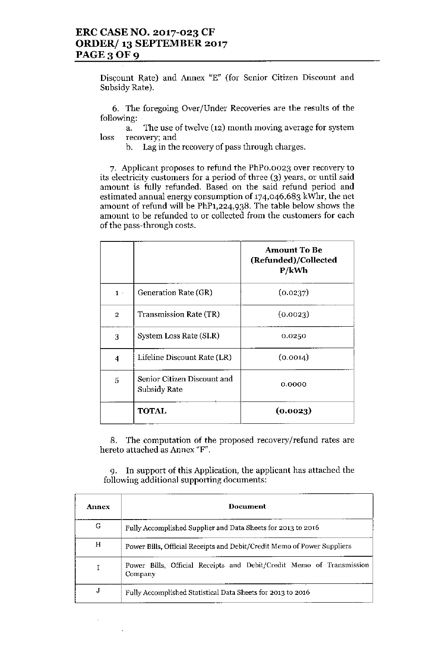Discount Rate) and Annex "E" (for Senior Citizen Discount and Subsidy Rate).

6. The foregoing Over/Under Recoveries are the results of the following:

a. The use of twelve (12) month moving average for system loss recovery; and

b. Lag in the recovery of pass through charges.

7. Applicant proposes to refund the PhPO.0023 over recovery to its electricity customers for a period of three (3) years, or until said amount is fully refunded. Based on the said refund period and estimated annual energy consumption of 174,046,683 kWhr, the net amount of refund will be PhP1,224,938. The table below shows the amount to be refunded to or collected from the customers for each of the pass-through costs.

|                |                                             | <b>Amount To Be</b><br>(Refunded)/Collected<br>P/kWh |
|----------------|---------------------------------------------|------------------------------------------------------|
| $1 -$          | Generation Rate (GR)                        | (0.0237)                                             |
| $\overline{2}$ | <b>Transmission Rate (TR)</b>               | (0.0023)                                             |
| 3              | System Loss Rate (SLR)                      | 0.0250                                               |
| 4              | Lifeline Discount Rate (LR)                 | (0.0014)                                             |
| 5              | Senior Citizen Discount and<br>Subsidy Rate | 0.0000                                               |
|                | TOTAL                                       | (0.0023)                                             |

8. The computation of the proposed recovery/refund rates are hereto attached as Annex "F".

9. In support of this Application, the applicant has attached the following additional supporting documents:

| <b>Annex</b> | Document                                                                        |  |  |
|--------------|---------------------------------------------------------------------------------|--|--|
| G            | Fully Accomplished Supplier and Data Sheets for 2013 to 2016                    |  |  |
| н            | Power Bills, Official Receipts and Debit/Credit Memo of Power Suppliers         |  |  |
|              | Power Bills, Official Receipts and Debit/Credit Memo of Transmission<br>Company |  |  |
| J            | Fully Accomplished Statistical Data Sheets for 2013 to 2016                     |  |  |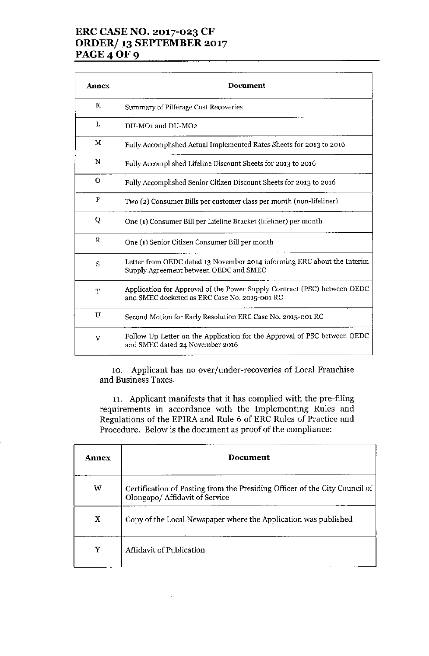## ERC CASE NO. 2017-023 CF ORDER/ 13 SEPTEMBER 2017 **PAGE 4 OF 9**

| Annex       | <b>Document</b>                                                                                                           |  |
|-------------|---------------------------------------------------------------------------------------------------------------------------|--|
| K           | Summary of Pilferage Cost Recoveries                                                                                      |  |
| L           | DU-MO1 and DU-MO2                                                                                                         |  |
| M           | Fully Accomplished Actual Implemented Rates Sheets for 2013 to 2016                                                       |  |
| N           | Fully Accomplished Lifeline Discount Sheets for 2013 to 2016                                                              |  |
| $\mathbf O$ | Fully Accomplished Senior Citizen Discount Sheets for 2013 to 2016                                                        |  |
| P           | Two (2) Consumer Bills per customer class per month (non-lifeliner)                                                       |  |
| Q           | One (1) Consumer Bill per Lifeline Bracket (lifeliner) per month                                                          |  |
| $\mathbf R$ | One (1) Senior Citizen Consumer Bill per month                                                                            |  |
| S           | Letter from OEDC dated 13 November 2014 informing ERC about the Interim<br>Supply Agreement between OEDC and SMEC         |  |
| T           | Application for Approval of the Power Supply Contract (PSC) between OEDC<br>and SMEC docketed as ERC Case No. 2015-001 RC |  |
| U           | Second Motion for Early Resolution ERC Case No. 2015-001 RC                                                               |  |
| V           | Follow Up Letter on the Application for the Approval of PSC between OEDC<br>and SMEC dated 24 November 2016               |  |

10. Applicant has no over/under-recoveries of Local Franchise and Business Taxes.

11. Applicant manifests that it has complied with the pre-filing requirements in accordance with the Implementing Rules and Regulations of the EPIRA and Rule 6 of ERC Rules of Practice and Procedure. Below is the document as proof of the compliance:

| Annex | Document                                                                                                     |  |
|-------|--------------------------------------------------------------------------------------------------------------|--|
| W     | Certification of Posting from the Presiding Officer of the City Council of<br>Olongapo/ Affidavit of Service |  |
| X     | Copy of the Local Newspaper where the Application was published                                              |  |
| Y     | Affidavit of Publication                                                                                     |  |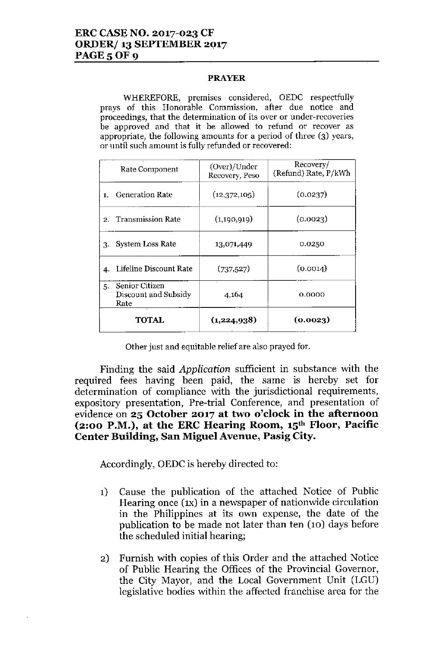#### **PRAYER**

WHEREFORE, premises considered, OEDC respectfully **prays of this Honorable Commission, after due notice and proceedings, that the determination of its over or under-recoveries be approved and that it be allowed to refund or recover as appropriate, the following amounts for a period of three (3) years, or until such amount is fully refunded or recovered:**

|    | Rate Component                                 | (Over)/Under<br>Recovery, Peso | Recovery/<br>(Refund) Rate, P/kWh |
|----|------------------------------------------------|--------------------------------|-----------------------------------|
| 1. | <b>Generation Rate</b>                         | (12,372,105)                   | (0.0237)                          |
|    | 2. Transmission Rate                           | (1,190,919)                    | (0.0023)                          |
| 3. | System Loss Rate                               | 13,071,449                     | 0.0250                            |
| 4. | Lifeline Discount Rate                         | (737, 527)                     | (0.0014)                          |
| 5. | Senior Citizen<br>Discount and Subsidy<br>Rate | 4,164                          | 0.0000                            |
|    | <b>TOTAL</b>                                   | (1,224,938)                    | (0.0023)                          |

**Other just and equitable relief are also prayed for.**

Finding the said *Application* sufficient in substance with the required fees having been paid, the same is hereby set for determination of compliance with the jurisdictional requirements, expository presentation, Pre-trial Conference, and presentation of evidence on **25 October 2017 at two o'clock in the afternoon (2:00 P.M.), at the ERC Hearing Room, 15th Floor, Pacific Center Building, San Miguel Avenue, Pasig City.**

Accordingly, OEDC is hereby directed to:

- 1) Cause the publication of the attached Notice of Public Hearing once (IX) in a newspaper of nationwide circulation in the Philippines at its own expense, the date of the publication to be made not later than ten (10) days before the scheduled initial hearing;
- 2) Furnish with copies of this Order and the attached Notice of Public Hearing the Offices of the Provincial Governor, the City Mayor, and the Local Government Unit (LGU) legislative bodies within the affected franchise area for the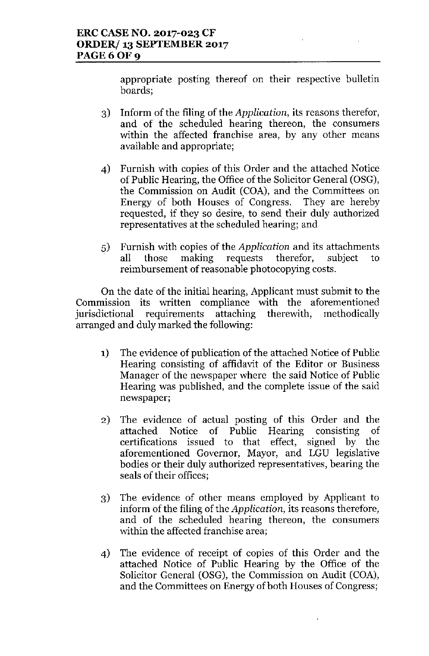appropriate posting thereof on their respective bulletin boards;

- 3) Inform of the filing of the *Application,* its reasons therefor, and of the scheduled hearing thereon, the consumers within the affected franchise area, by any other means available and appropriate;
- 4) Furnish with copies of this Order and the attached Notice of Public Hearing, the Office of the Solicitor General (OSG), the Commission on Audit (COA), and the Committees on Energy of both Houses of Congress. They are hereby requested, if they so desire, to send their duly authorized representatives at the scheduled hearing; and
- 5) Furnish with copies of the *Application* and its attachments all those making requests therefor, subject to reimbursement of reasonable photocopying costs.

On the date of the initial hearing, Applicant must submit to the Commission its written compliance with the aforementioned<br>jurisdictional requirements attaching therewith, methodically jurisdictional requirements attaching arranged and duly marked the following:

- 1) The evidence of publication of the attached Notice of Public Hearing consisting of affidavit of the Editor or Business Manager of the newspaper where the said Notice of Public Hearing was published, and the complete issue of the said newspaper;
- 2) The evidence of actual posting of this Order and the attached Notice of Public Hearing consisting of certifications issued to that effect, signed by the aforementioned Governor, Mayor, and LGU legislative bodies or their duly authorized representatives, bearing the seals of their offices;
- 3) The evidence of other means employed by Applicant to inform of the filing of the *Application,* its reasons therefore, and of the scheduled hearing thereon, the consumers within the affected franchise area;
- 4) The evidence of receipt of copies of this Order and the attached Notice of Public Hearing by the Office of the Solicitor General (OSG), the Commission on Audit (COA), and the Committees on Energy of both Houses of Congress;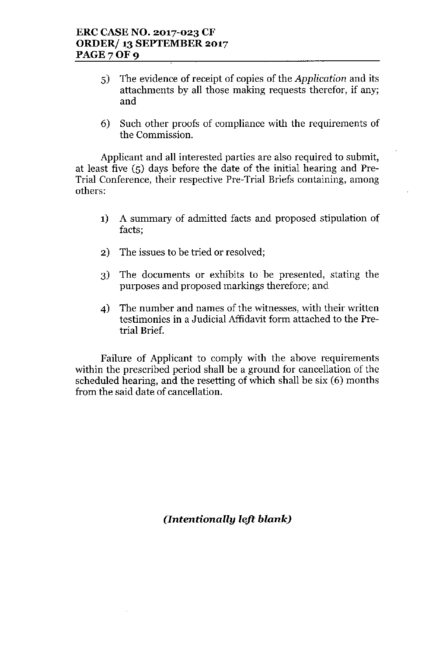- 5) The evidence of receipt of copies of the *Application* and its attachments by all those making requests therefor, if any; and
- 6) Such other proofs of compliance with the requirements of the Commission.

Applicant and all interested parties are also required to submit, at least five (5) days before the date of the initial hearing and Pre-Trial Conference, their respective Pre-Trial Briefs containing, among others:

- 1) A summary of admitted facts and proposed stipulation of facts;
- 2) The issues to be tried or resolved;
- 3) The documents or exhibits to be presented, stating the purposes and proposed markings therefore; and
- 4) The number and names of the witnesses, with their written testimonies in a Judicial Affidavit form attached to the Pretrial Brief.

Failure of Applicant to comply with the above requirements within the prescribed period shall be a ground for cancellation of the scheduled hearing, and the resetting of which shall be six (6) months from the said date of cancellation.

*(Intentionally left blank)*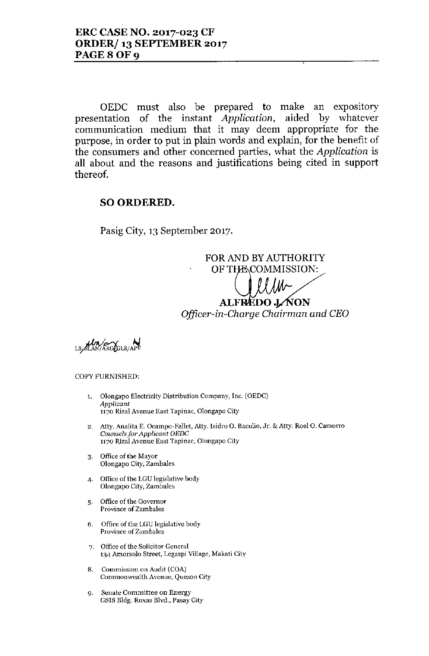OEDC must also be prepared to make an expository presentation of the instant *Application,* aided by whatever communication medium that it may deem appropriate for the purpose, in order to put in plain words and explain, for the benefit of the consumers and other concerned parties, what the *Application* is all about and the reasons and justifications being cited in support thereof.

## SO ORDERED.

Pasig City, 13 September 2017.

FOR AND BY AUTHORITY OF THE COMMISSION: ALFREDO JAON *Officer-in-Charge Chairman and CEO*

**Un** *ARGBLS/APV* 

#### COPY FURNISHED:

- 1. Olongapo Electricity Distribution Company, Inc. (OEDe) *Applicant* 1170 Rizal Avenue East Tapinac, Olongapo City
- 2. Atty. Analita E. Ocampo-Fallet, Atty. Isidro O. Baculio, Jr. & Atty. Roel O. Camorro *Counsels for Applicant OEDC* 1170 Rizal Avenue East Tapinac, Olongapo City
- 3. Office of the Mayor Olongapo City, Zamhales
- 4. Office of the LGU legislative body Olongapo City, Zambales
- 5. Office of the Governor Province of Zambales
- 6. Office of the LGU legislative body Province of Zambales
- 7. Office of the Solicitor General 134 Amorsolo Street, Legaspi Village, Makatj City
- 8. Commission on Audit (COA) Commonwealth Avenue, Quezon City
- 9. Senate Committee on Energy GSIS Bldg. Roxas Blvd., Pasay City